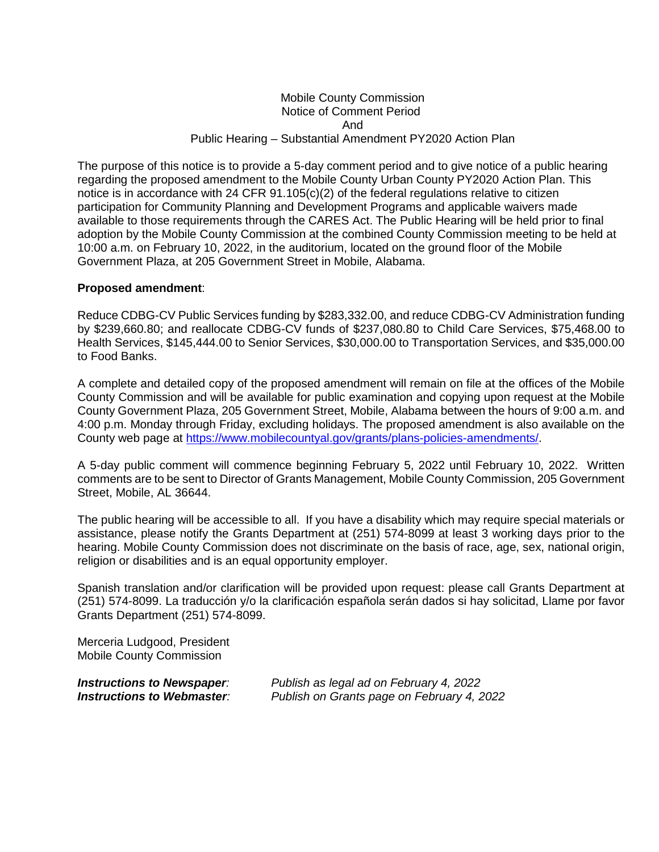## Mobile County Commission Notice of Comment Period And Public Hearing – Substantial Amendment PY2020 Action Plan

The purpose of this notice is to provide a 5-day comment period and to give notice of a public hearing regarding the proposed amendment to the Mobile County Urban County PY2020 Action Plan. This notice is in accordance with 24 CFR 91.105(c)(2) of the federal regulations relative to citizen participation for Community Planning and Development Programs and applicable waivers made available to those requirements through the CARES Act. The Public Hearing will be held prior to final adoption by the Mobile County Commission at the combined County Commission meeting to be held at 10:00 a.m. on February 10, 2022, in the auditorium, located on the ground floor of the Mobile Government Plaza, at 205 Government Street in Mobile, Alabama.

## **Proposed amendment**:

Reduce CDBG-CV Public Services funding by \$283,332.00, and reduce CDBG-CV Administration funding by \$239,660.80; and reallocate CDBG-CV funds of \$237,080.80 to Child Care Services, \$75,468.00 to Health Services, \$145,444.00 to Senior Services, \$30,000.00 to Transportation Services, and \$35,000.00 to Food Banks.

A complete and detailed copy of the proposed amendment will remain on file at the offices of the Mobile County Commission and will be available for public examination and copying upon request at the Mobile County Government Plaza, 205 Government Street, Mobile, Alabama between the hours of 9:00 a.m. and 4:00 p.m. Monday through Friday, excluding holidays. The proposed amendment is also available on the County web page at [https://www.mobilecountyal.gov/grants/plans-policies-amendments/.](https://www.mobilecountyal.gov/grants/plans-policies-amendments/)

A 5-day public comment will commence beginning February 5, 2022 until February 10, 2022. Written comments are to be sent to Director of Grants Management, Mobile County Commission, 205 Government Street, Mobile, AL 36644.

The public hearing will be accessible to all. If you have a disability which may require special materials or assistance, please notify the Grants Department at (251) 574-8099 at least 3 working days prior to the hearing. Mobile County Commission does not discriminate on the basis of race, age, sex, national origin, religion or disabilities and is an equal opportunity employer.

Spanish translation and/or clarification will be provided upon request: please call Grants Department at (251) 574-8099. La traducción y/o la clarificación española serán dados si hay solicitad, Llame por favor Grants Department (251) 574-8099.

Merceria Ludgood, President Mobile County Commission

| <b>Instructions to Newspaper:</b> | Publish as legal ad on February 4, 2022    |  |  |
|-----------------------------------|--------------------------------------------|--|--|
| <b>Instructions to Webmaster:</b> | Publish on Grants page on February 4, 2022 |  |  |